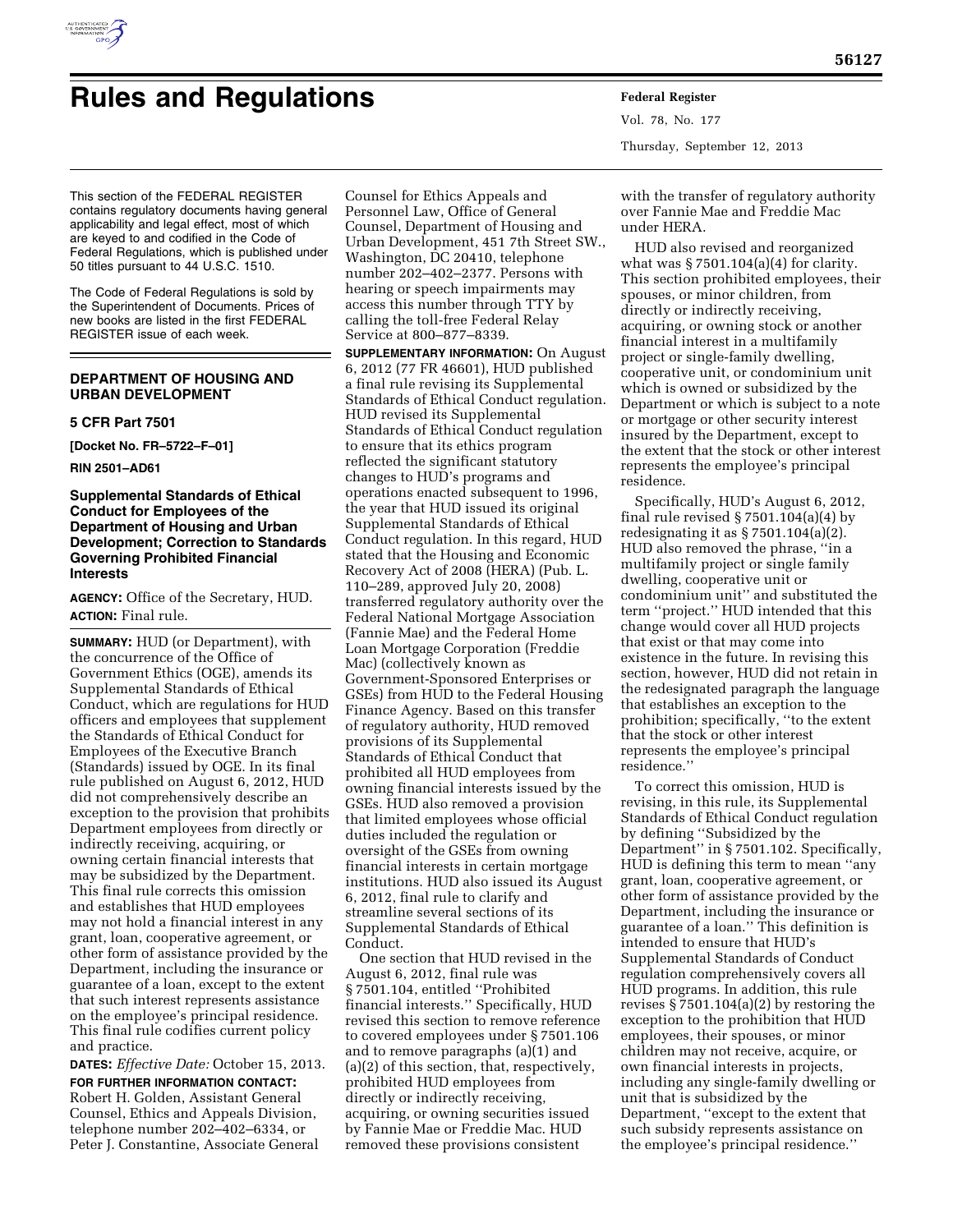

# **Rules and Regulations Federal Register**

Vol. 78, No. 177 Thursday, September 12, 2013

This section of the FEDERAL REGISTER contains regulatory documents having general applicability and legal effect, most of which are keyed to and codified in the Code of Federal Regulations, which is published under 50 titles pursuant to 44 U.S.C. 1510.

The Code of Federal Regulations is sold by the Superintendent of Documents. Prices of new books are listed in the first FEDERAL REGISTER issue of each week.

# **DEPARTMENT OF HOUSING AND URBAN DEVELOPMENT**

#### **5 CFR Part 7501**

**[Docket No. FR–5722–F–01]** 

**RIN 2501–AD61** 

## **Supplemental Standards of Ethical Conduct for Employees of the Department of Housing and Urban Development; Correction to Standards Governing Prohibited Financial Interests**

**AGENCY:** Office of the Secretary, HUD. **ACTION:** Final rule.

**SUMMARY:** HUD (or Department), with the concurrence of the Office of Government Ethics (OGE), amends its Supplemental Standards of Ethical Conduct, which are regulations for HUD officers and employees that supplement the Standards of Ethical Conduct for Employees of the Executive Branch (Standards) issued by OGE. In its final rule published on August 6, 2012, HUD did not comprehensively describe an exception to the provision that prohibits Department employees from directly or indirectly receiving, acquiring, or owning certain financial interests that may be subsidized by the Department. This final rule corrects this omission and establishes that HUD employees may not hold a financial interest in any grant, loan, cooperative agreement, or other form of assistance provided by the Department, including the insurance or guarantee of a loan, except to the extent that such interest represents assistance on the employee's principal residence. This final rule codifies current policy and practice.

**DATES:** *Effective Date:* October 15, 2013. **FOR FURTHER INFORMATION CONTACT:**  Robert H. Golden, Assistant General Counsel, Ethics and Appeals Division, telephone number 202–402–6334, or Peter J. Constantine, Associate General

Counsel for Ethics Appeals and Personnel Law, Office of General Counsel, Department of Housing and Urban Development, 451 7th Street SW., Washington, DC 20410, telephone number 202–402–2377. Persons with hearing or speech impairments may access this number through TTY by calling the toll-free Federal Relay Service at 800–877–8339.

**SUPPLEMENTARY INFORMATION:** On August 6, 2012 (77 FR 46601), HUD published a final rule revising its Supplemental Standards of Ethical Conduct regulation. HUD revised its Supplemental Standards of Ethical Conduct regulation to ensure that its ethics program reflected the significant statutory changes to HUD's programs and operations enacted subsequent to 1996, the year that HUD issued its original Supplemental Standards of Ethical Conduct regulation. In this regard, HUD stated that the Housing and Economic Recovery Act of 2008 (HERA) (Pub. L. 110–289, approved July 20, 2008) transferred regulatory authority over the Federal National Mortgage Association (Fannie Mae) and the Federal Home Loan Mortgage Corporation (Freddie Mac) (collectively known as Government-Sponsored Enterprises or GSEs) from HUD to the Federal Housing Finance Agency. Based on this transfer of regulatory authority, HUD removed provisions of its Supplemental Standards of Ethical Conduct that prohibited all HUD employees from owning financial interests issued by the GSEs. HUD also removed a provision that limited employees whose official duties included the regulation or oversight of the GSEs from owning financial interests in certain mortgage institutions. HUD also issued its August 6, 2012, final rule to clarify and streamline several sections of its Supplemental Standards of Ethical Conduct.

One section that HUD revised in the August 6, 2012, final rule was § 7501.104, entitled ''Prohibited financial interests.'' Specifically, HUD revised this section to remove reference to covered employees under § 7501.106 and to remove paragraphs (a)(1) and (a)(2) of this section, that, respectively, prohibited HUD employees from directly or indirectly receiving, acquiring, or owning securities issued by Fannie Mae or Freddie Mac. HUD removed these provisions consistent

with the transfer of regulatory authority over Fannie Mae and Freddie Mac under HERA.

HUD also revised and reorganized what was  $$7501.104(a)(4)$  for clarity. This section prohibited employees, their spouses, or minor children, from directly or indirectly receiving, acquiring, or owning stock or another financial interest in a multifamily project or single-family dwelling, cooperative unit, or condominium unit which is owned or subsidized by the Department or which is subject to a note or mortgage or other security interest insured by the Department, except to the extent that the stock or other interest represents the employee's principal residence.

Specifically, HUD's August 6, 2012, final rule revised  $\S 7501.104(a)(4)$  by redesignating it as  $\S 7501.104(a)(2)$ . HUD also removed the phrase, ''in a multifamily project or single family dwelling, cooperative unit or condominium unit'' and substituted the term ''project.'' HUD intended that this change would cover all HUD projects that exist or that may come into existence in the future. In revising this section, however, HUD did not retain in the redesignated paragraph the language that establishes an exception to the prohibition; specifically, ''to the extent that the stock or other interest represents the employee's principal residence.''

To correct this omission, HUD is revising, in this rule, its Supplemental Standards of Ethical Conduct regulation by defining ''Subsidized by the Department" in § 7501.102. Specifically, HUD is defining this term to mean ''any grant, loan, cooperative agreement, or other form of assistance provided by the Department, including the insurance or guarantee of a loan.'' This definition is intended to ensure that HUD's Supplemental Standards of Conduct regulation comprehensively covers all HUD programs. In addition, this rule revises  $\S 7501.104(a)(2)$  by restoring the exception to the prohibition that HUD employees, their spouses, or minor children may not receive, acquire, or own financial interests in projects, including any single-family dwelling or unit that is subsidized by the Department, ''except to the extent that such subsidy represents assistance on the employee's principal residence.''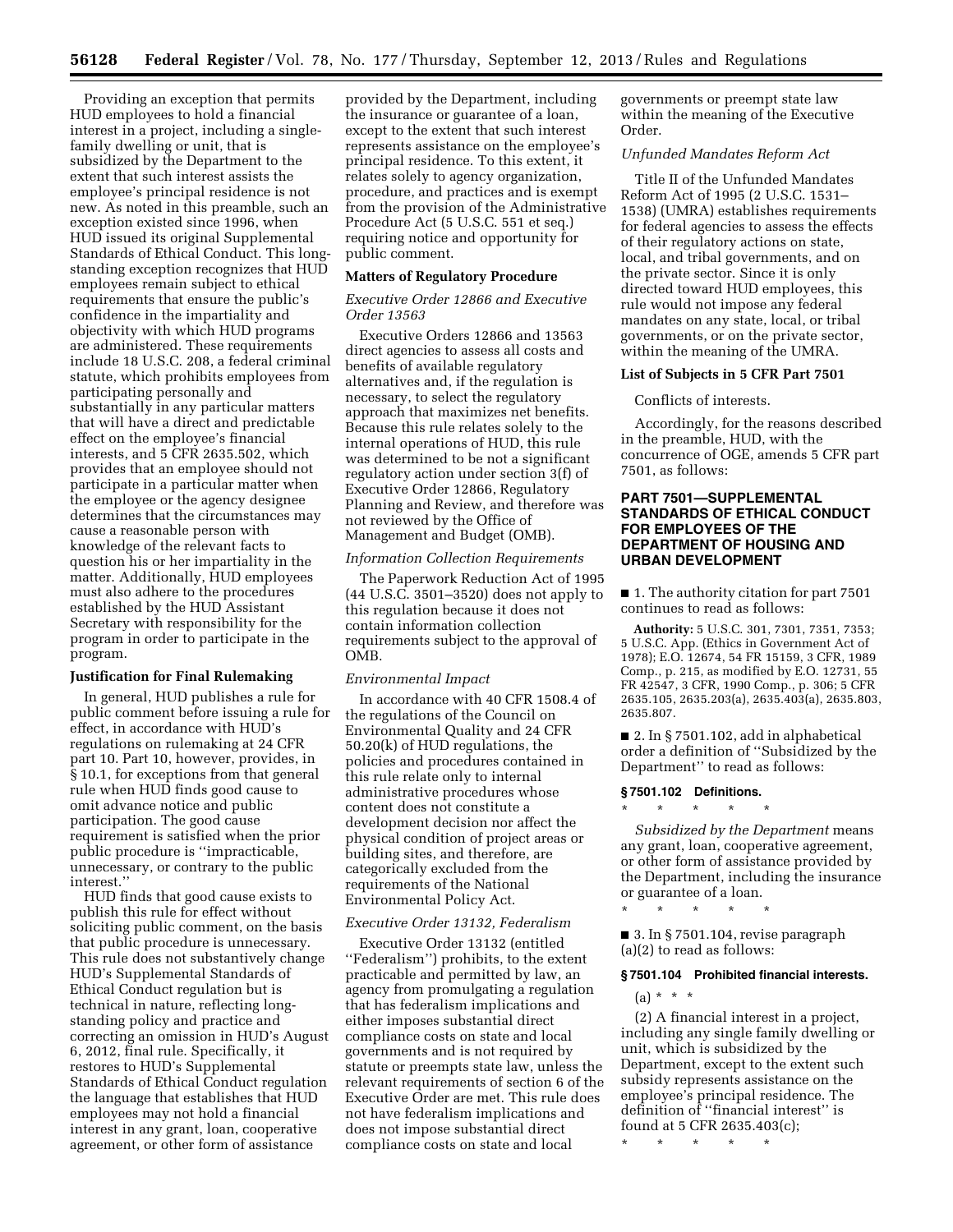Providing an exception that permits HUD employees to hold a financial interest in a project, including a singlefamily dwelling or unit, that is subsidized by the Department to the extent that such interest assists the employee's principal residence is not new. As noted in this preamble, such an exception existed since 1996, when HUD issued its original Supplemental Standards of Ethical Conduct. This longstanding exception recognizes that HUD employees remain subject to ethical requirements that ensure the public's confidence in the impartiality and objectivity with which HUD programs are administered. These requirements include 18 U.S.C. 208, a federal criminal statute, which prohibits employees from participating personally and substantially in any particular matters that will have a direct and predictable effect on the employee's financial interests, and 5 CFR 2635.502, which provides that an employee should not participate in a particular matter when the employee or the agency designee determines that the circumstances may cause a reasonable person with knowledge of the relevant facts to question his or her impartiality in the matter. Additionally, HUD employees must also adhere to the procedures established by the HUD Assistant Secretary with responsibility for the program in order to participate in the program.

## **Justification for Final Rulemaking**

In general, HUD publishes a rule for public comment before issuing a rule for effect, in accordance with HUD's regulations on rulemaking at 24 CFR part 10. Part 10, however, provides, in § 10.1, for exceptions from that general rule when HUD finds good cause to omit advance notice and public participation. The good cause requirement is satisfied when the prior public procedure is ''impracticable, unnecessary, or contrary to the public interest.''

HUD finds that good cause exists to publish this rule for effect without soliciting public comment, on the basis that public procedure is unnecessary. This rule does not substantively change HUD's Supplemental Standards of Ethical Conduct regulation but is technical in nature, reflecting longstanding policy and practice and correcting an omission in HUD's August 6, 2012, final rule. Specifically, it restores to HUD's Supplemental Standards of Ethical Conduct regulation the language that establishes that HUD employees may not hold a financial interest in any grant, loan, cooperative agreement, or other form of assistance

provided by the Department, including the insurance or guarantee of a loan, except to the extent that such interest represents assistance on the employee's principal residence. To this extent, it relates solely to agency organization, procedure, and practices and is exempt from the provision of the Administrative Procedure Act (5 U.S.C. 551 et seq.) requiring notice and opportunity for public comment.

#### **Matters of Regulatory Procedure**

## *Executive Order 12866 and Executive Order 13563*

Executive Orders 12866 and 13563 direct agencies to assess all costs and benefits of available regulatory alternatives and, if the regulation is necessary, to select the regulatory approach that maximizes net benefits. Because this rule relates solely to the internal operations of HUD, this rule was determined to be not a significant regulatory action under section 3(f) of Executive Order 12866, Regulatory Planning and Review, and therefore was not reviewed by the Office of Management and Budget (OMB).

#### *Information Collection Requirements*

The Paperwork Reduction Act of 1995 (44 U.S.C. 3501–3520) does not apply to this regulation because it does not contain information collection requirements subject to the approval of OMB.

# *Environmental Impact*

In accordance with 40 CFR 1508.4 of the regulations of the Council on Environmental Quality and 24 CFR 50.20(k) of HUD regulations, the policies and procedures contained in this rule relate only to internal administrative procedures whose content does not constitute a development decision nor affect the physical condition of project areas or building sites, and therefore, are categorically excluded from the requirements of the National Environmental Policy Act.

## *Executive Order 13132, Federalism*

Executive Order 13132 (entitled ''Federalism'') prohibits, to the extent practicable and permitted by law, an agency from promulgating a regulation that has federalism implications and either imposes substantial direct compliance costs on state and local governments and is not required by statute or preempts state law, unless the relevant requirements of section 6 of the Executive Order are met. This rule does not have federalism implications and does not impose substantial direct compliance costs on state and local

governments or preempt state law within the meaning of the Executive Order.

## *Unfunded Mandates Reform Act*

Title II of the Unfunded Mandates Reform Act of 1995 (2 U.S.C. 1531– 1538) (UMRA) establishes requirements for federal agencies to assess the effects of their regulatory actions on state, local, and tribal governments, and on the private sector. Since it is only directed toward HUD employees, this rule would not impose any federal mandates on any state, local, or tribal governments, or on the private sector, within the meaning of the UMRA.

## **List of Subjects in 5 CFR Part 7501**

#### Conflicts of interests.

Accordingly, for the reasons described in the preamble, HUD, with the concurrence of OGE, amends 5 CFR part 7501, as follows:

## **PART 7501—SUPPLEMENTAL STANDARDS OF ETHICAL CONDUCT FOR EMPLOYEES OF THE DEPARTMENT OF HOUSING AND URBAN DEVELOPMENT**

■ 1. The authority citation for part 7501 continues to read as follows:

**Authority:** 5 U.S.C. 301, 7301, 7351, 7353; 5 U.S.C. App. (Ethics in Government Act of 1978); E.O. 12674, 54 FR 15159, 3 CFR, 1989 Comp., p. 215, as modified by E.O. 12731, 55 FR 42547, 3 CFR, 1990 Comp., p. 306; 5 CFR 2635.105, 2635.203(a), 2635.403(a), 2635.803, 2635.807.

■ 2. In § 7501.102, add in alphabetical order a definition of ''Subsidized by the Department'' to read as follows:

#### **§ 7501.102 Definitions.**

\* \* \* \* \*

\* \* \* \* \*

*Subsidized by the Department* means any grant, loan, cooperative agreement, or other form of assistance provided by the Department, including the insurance or guarantee of a loan.

■ 3. In § 7501.104, revise paragraph (a)(2) to read as follows:

#### **§ 7501.104 Prohibited financial interests.**

 $(a) * * * *$ 

(2) A financial interest in a project, including any single family dwelling or unit, which is subsidized by the Department, except to the extent such subsidy represents assistance on the employee's principal residence. The definition of ''financial interest'' is found at 5 CFR 2635.403(c);

\* \* \* \* \*